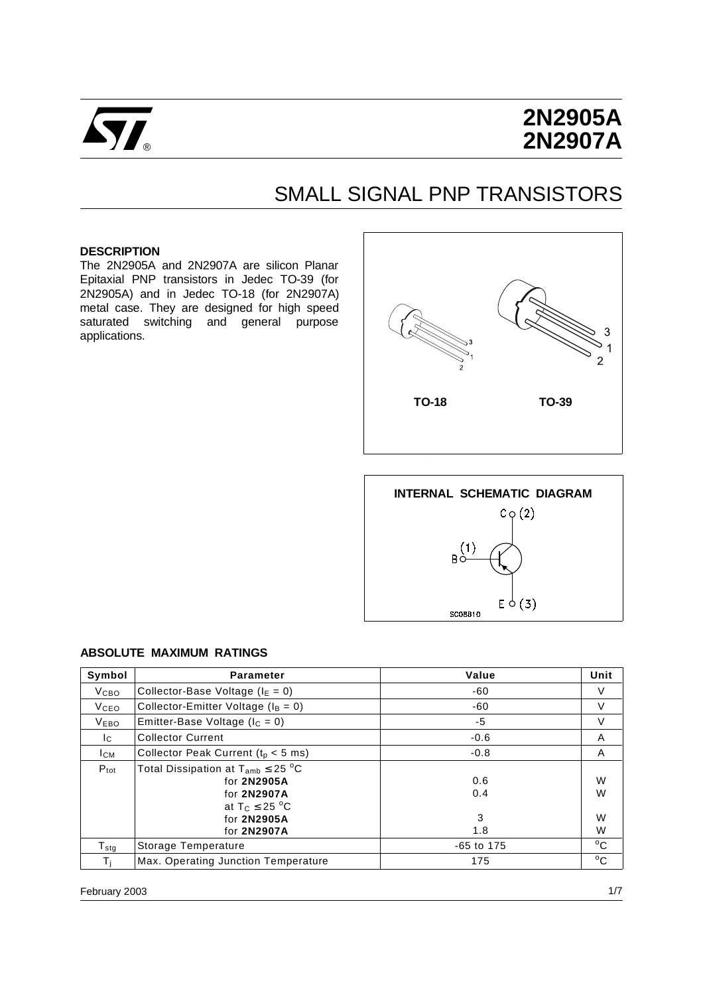

# **2N2905A 2N2907A**

## SMALL SIGNAL PNP TRANSISTORS

#### **DESCRIPTION**

The 2N2905A and 2N2907A are silicon Planar Epitaxial PNP transistors in Jedec TO-39 (for 2N2905A) and in Jedec TO-18 (for 2N2907A) metal case. They are designed for high speed saturated switching and general purpose applications.





#### **ABSOLUTE MAXIMUM RATINGS**

| Symbol           | <b>Parameter</b>                                                                                                             | Value                  | Unit             |
|------------------|------------------------------------------------------------------------------------------------------------------------------|------------------------|------------------|
| V <sub>CBO</sub> | Collector-Base Voltage ( $I_E = 0$ )                                                                                         | -60                    | V                |
| <b>V</b> ceo     | Collector-Emitter Voltage ( $I_B = 0$ )                                                                                      | -60                    | V                |
| <b>VEBO</b>      | Emitter-Base Voltage ( $I_C = 0$ )                                                                                           | $-5$                   | V                |
| Ic.              | <b>Collector Current</b>                                                                                                     | $-0.6$                 | A                |
| <b>ICM</b>       | Collector Peak Current ( $t_p < 5$ ms)                                                                                       | $-0.8$                 | A                |
| $P_{\text{tot}}$ | Total Dissipation at $T_{amb} \leq 25$ °C<br>for 2N2905A<br>for 2N2907A<br>at $T_C \leq 25$ °C<br>for 2N2905A<br>for 2N2907A | 0.6<br>0.4<br>3<br>1.8 | W<br>W<br>W<br>W |
| $T_{\rm stg}$    | Storage Temperature                                                                                                          | $-65$ to 175           | $^{\circ}$ C     |
| Ti               | Max. Operating Junction Temperature                                                                                          | 175                    | $^{\circ}$ C     |

February 2003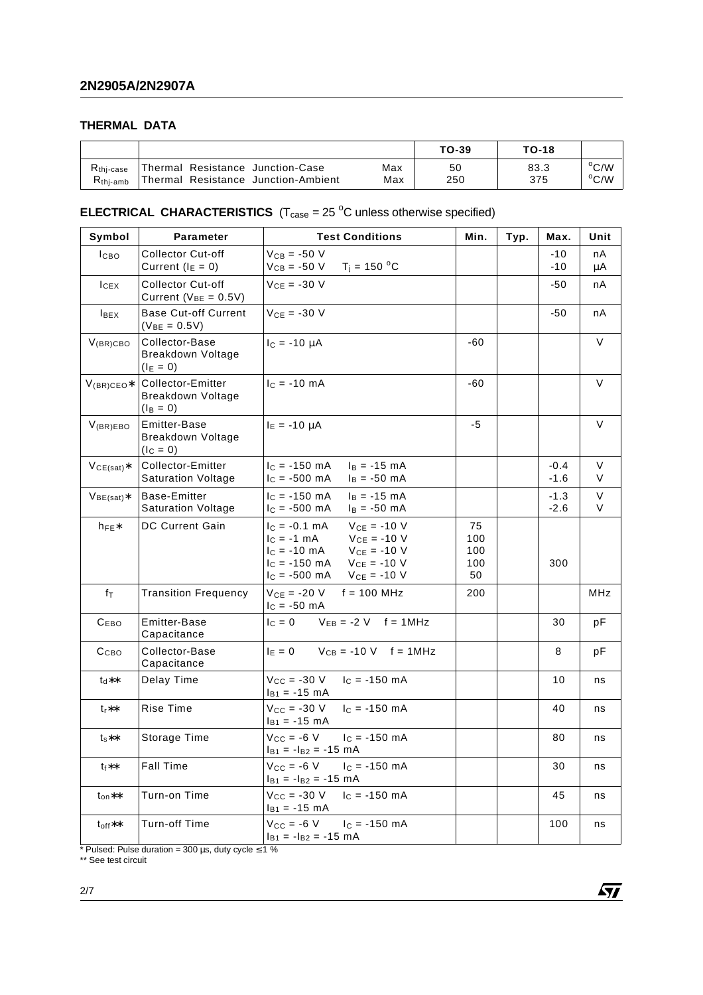### **THERMAL DATA**

|             |                                     |     | TO-39 | <b>TO-18</b> |                |
|-------------|-------------------------------------|-----|-------|--------------|----------------|
| $Rthi-case$ | Thermal Resistance Junction-Case    | Max | 50    | 83.3         | $\rm ^{o}C/W$  |
| $Rthi-amb$  | Thermal Resistance Junction-Ambient | Max | 250   | 375          | $^{\circ}$ C/W |

#### **ELECTRICAL CHARACTERISTICS**  $(T_{\text{case}} = 25 \text{ °C}$  unless otherwise specified)

| Symbol             | <b>Parameter</b>                                      | <b>Test Conditions</b>                                                                                                                                                                     | Min.                          | Typ. | Max.             | Unit        |
|--------------------|-------------------------------------------------------|--------------------------------------------------------------------------------------------------------------------------------------------------------------------------------------------|-------------------------------|------|------------------|-------------|
| I <sub>CBO</sub>   | <b>Collector Cut-off</b><br>Current ( $I_E = 0$ )     | $V_{CB} = -50 V$<br>$V_{CB} = -50 \text{ V}$ T <sub>i</sub> = 150 °C                                                                                                                       |                               |      | $-10$<br>$-10$   | nA<br>μA    |
| $lc$ <sub>EX</sub> | Collector Cut-off<br>Current ( $V_{BE} = 0.5V$ )      | $V_{CF} = -30 V$                                                                                                                                                                           |                               |      | -50              | nA          |
| $I_{BEX}$          | <b>Base Cut-off Current</b><br>$(V_{BE} = 0.5V)$      | $V_{CE} = -30 V$                                                                                                                                                                           |                               |      | $-50$            | nA          |
| $V_{(BR)CBO}$      | Collector-Base<br>Breakdown Voltage<br>$(I_E = 0)$    | $I_C = -10 \mu A$                                                                                                                                                                          | -60                           |      |                  | V           |
| $V_{(BR)CEO*}$     | Collector-Emitter<br>Breakdown Voltage<br>$(I_B = 0)$ | $IC = -10 mA$                                                                                                                                                                              | -60                           |      |                  | V           |
| $V_{(BR)EBO}$      | Emitter-Base<br>Breakdown Voltage<br>$(lC = 0)$       | $I_E = -10 \mu A$                                                                                                                                                                          | -5                            |      |                  | $\vee$      |
| $VCE(sat)$ *       | Collector-Emitter<br><b>Saturation Voltage</b>        | $I_C = -150$ mA<br>$I_B = -15$ mA<br>$I_C = -500$ mA<br>$I_B = -50$ mA                                                                                                                     |                               |      | $-0.4$<br>$-1.6$ | $\vee$<br>V |
| $V_{BE(sat)}*$     | Base-Emitter<br><b>Saturation Voltage</b>             | $I_C = -150$ mA<br>$I_B = -15$ mA<br>$I_C = -500$ mA<br>$I_B = -50$ mA                                                                                                                     |                               |      | $-1.3$<br>$-2.6$ | $\vee$<br>V |
| $h_{FE}$           | <b>DC Current Gain</b>                                | $V_{CE} = -10 V$<br>$I_C = -0.1$ mA<br>$V_{CE} = -10 V$<br>$c = -1$ mA<br>$V_{CE} = -10 V$<br>$I_C = -10$ mA<br>$I_C = -150$ mA<br>$V_{CE} = -10 V$<br>$V_{CE} = -10 V$<br>$I_C = -500$ mA | 75<br>100<br>100<br>100<br>50 |      | 300              |             |
| $f_{\mathsf{T}}$   | <b>Transition Frequency</b>                           | $V_{CE} = -20 V$<br>$f = 100$ MHz<br>$I_{C} = -50$ mA                                                                                                                                      | 200                           |      |                  | MHz         |
| C <sub>EBO</sub>   | <b>Emitter-Base</b><br>Capacitance                    | $V_{EB} = -2 V$ f = 1MHz<br>$I_C = 0$                                                                                                                                                      |                               |      | 30               | рF          |
| Ссво               | Collector-Base<br>Capacitance                         | $I_E = 0$ $V_{CB} = -10$ V $f = 1$ MHz                                                                                                                                                     |                               |      | 8                | рF          |
| $t_d**$            | Delay Time                                            | $V_{CC} = -30 V$<br>$I_C = -150$ mA<br>$I_{B1} = -15$ mA                                                                                                                                   |                               |      | 10               | ns          |
| $t_{r}$ **         | Rise Time                                             | $V_{CC} = -30 V$<br>$I_c = -150$ mA<br>$I_{B1} = -15$ mA                                                                                                                                   |                               |      | 40               | ns          |
| $t_s**$            | Storage Time                                          | $V_{CC} = -6 V$<br>$c = -150$ mA<br>$I_{B1} = -I_{B2} = -15$ mA                                                                                                                            |                               |      | 80               | ns          |
| $t_f**$            | <b>Fall Time</b>                                      | $V_{CC} = -6 V$<br>$IC = -150$ mA<br>$I_{B1} = -I_{B2} = -15$ mA                                                                                                                           |                               |      | 30               | ns          |
| $t_{on}$ **        | Turn-on Time                                          | $I_C = -150$ mA<br>$V_{CC} = -30 V$<br>$I_{B1} = -15$ mA                                                                                                                                   |                               |      | 45               | ns          |
| $t_{off}$ **       | <b>Turn-off Time</b>                                  | $V_{CC} = -6 V$<br>$I_c = -150$ mA<br>$I_{B1} = -I_{B2} = -15$ mA                                                                                                                          |                               |      | 100              | ns          |

 $\sqrt{M}$ 

\* Pulsed: Pulse duration = 300  $\mu$ s, duty cycle  $\leq$  1 %

\*\* See test circuit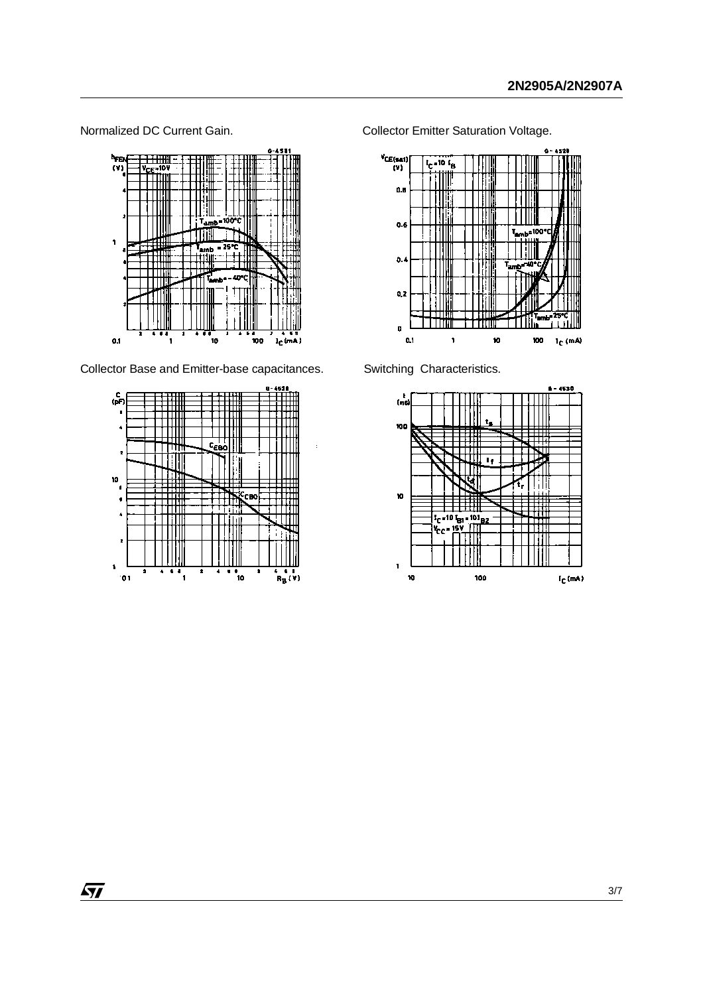

Collector Base and Emitter-base capacitances. Switching Characteristics.



Normalized DC Current Gain. **Collector Emitter Saturation Voltage.** 



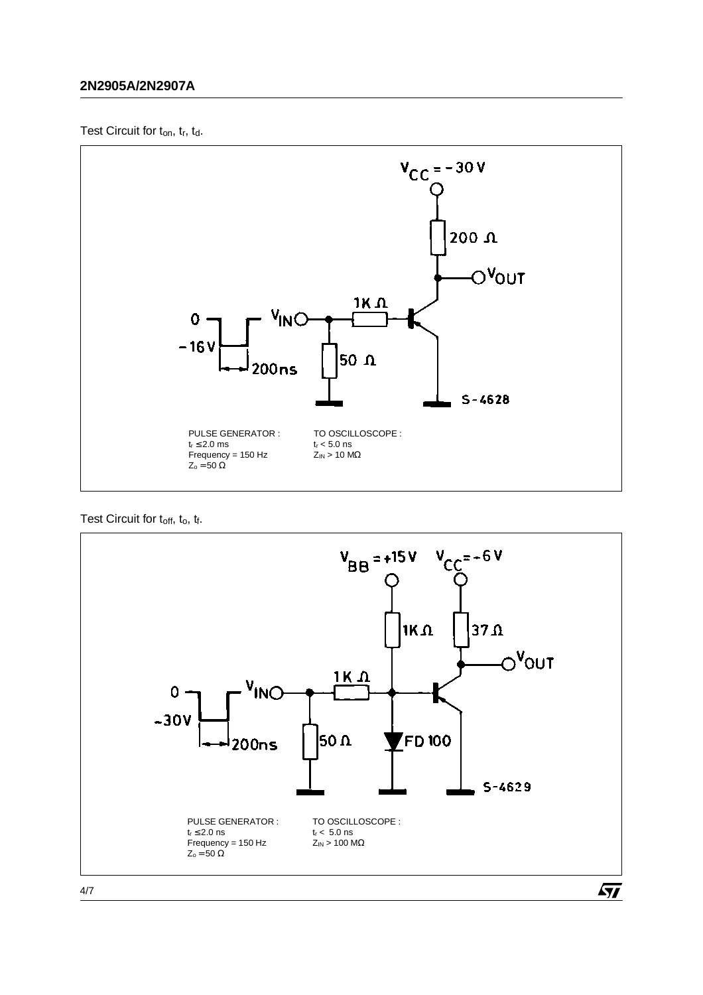### **2N2905A/2N2907A**

Test Circuit for ton, tr, td.



Test Circuit for toff, to, tf.



 $\sqrt{27}$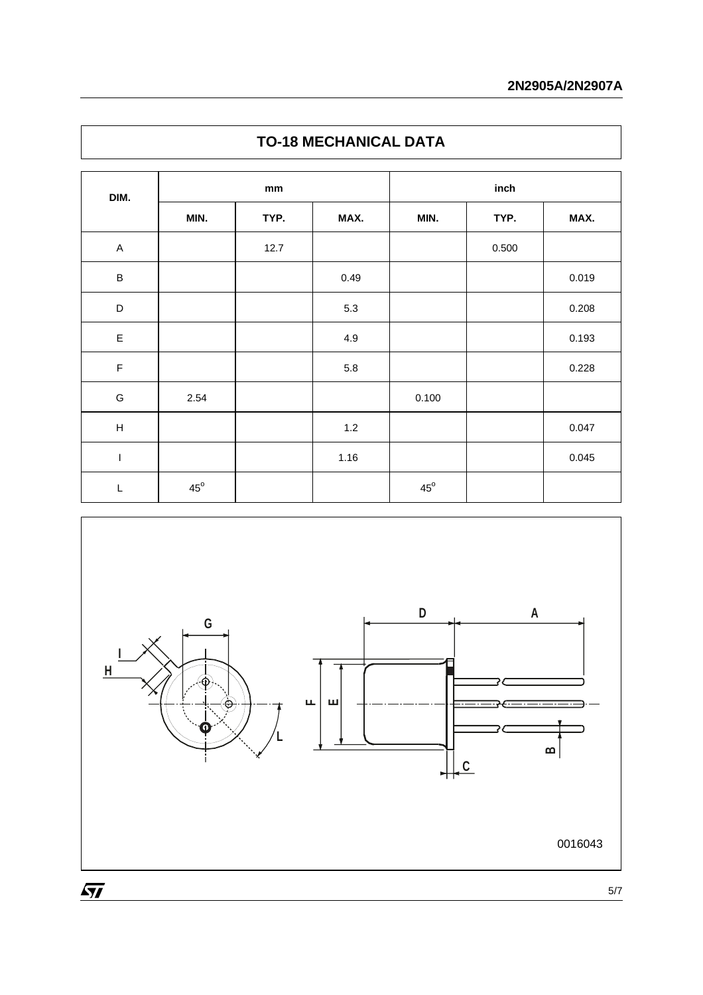| DIM.        | mm           |      |       | inch         |       |       |  |
|-------------|--------------|------|-------|--------------|-------|-------|--|
|             | MIN.         | TYP. | MAX.  | MIN.         | TYP.  | MAX.  |  |
| $\mathsf A$ |              | 12.7 |       |              | 0.500 |       |  |
| B           |              |      | 0.49  |              |       | 0.019 |  |
| D           |              |      | 5.3   |              |       | 0.208 |  |
| $\mathsf E$ |              |      | 4.9   |              |       | 0.193 |  |
| $\mathsf F$ |              |      | 5.8   |              |       | 0.228 |  |
| G           | 2.54         |      |       | 0.100        |       |       |  |
| H           |              |      | $1.2$ |              |       | 0.047 |  |
| $\mathsf I$ |              |      | 1.16  |              |       | 0.045 |  |
| L           | $45^{\circ}$ |      |       | $45^{\circ}$ |       |       |  |



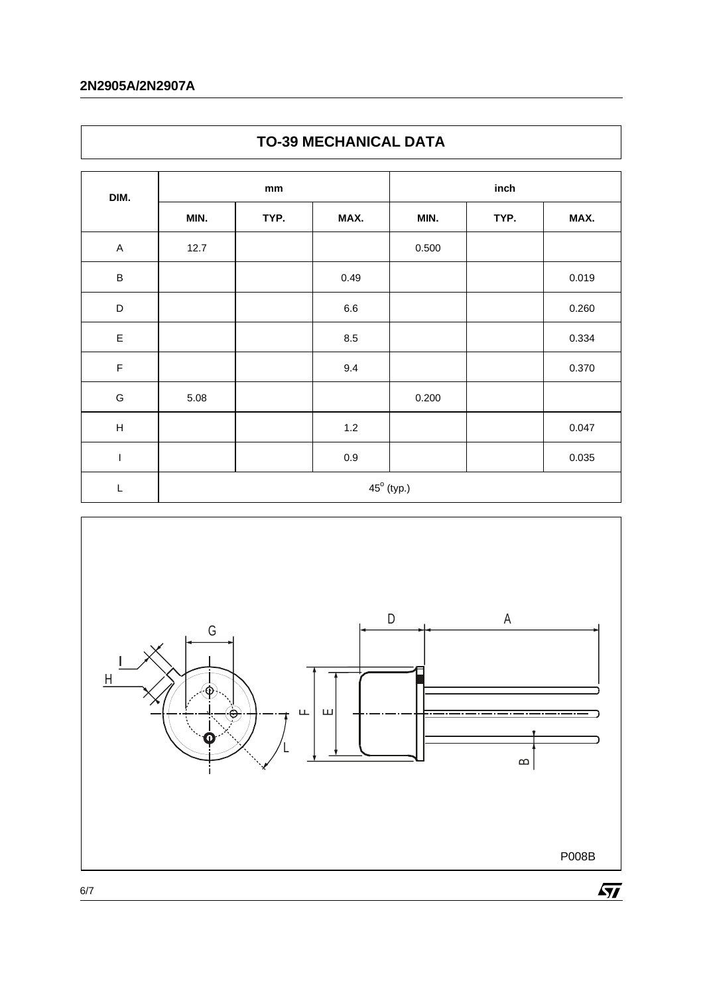## **2N2905A/2N2907A**

| DIM.        | mm   |      |         | inch                |      |       |
|-------------|------|------|---------|---------------------|------|-------|
|             | MIN. | TYP. | MAX.    | MIN.                | TYP. | MAX.  |
| $\mathsf A$ | 12.7 |      |         | 0.500               |      |       |
| $\sf B$     |      |      | 0.49    |                     |      | 0.019 |
| D           |      |      | $6.6\,$ |                     |      | 0.260 |
| $\mathsf E$ |      |      | $8.5\,$ |                     |      | 0.334 |
| $\mathsf F$ |      |      | 9.4     |                     |      | 0.370 |
| G           | 5.08 |      |         | 0.200               |      |       |
| $\sf H$     |      |      | $1.2$   |                     |      | 0.047 |
| $\mathsf I$ |      |      | $0.9\,$ |                     |      | 0.035 |
| L           |      |      |         | $45^{\circ}$ (typ.) |      |       |





6/7